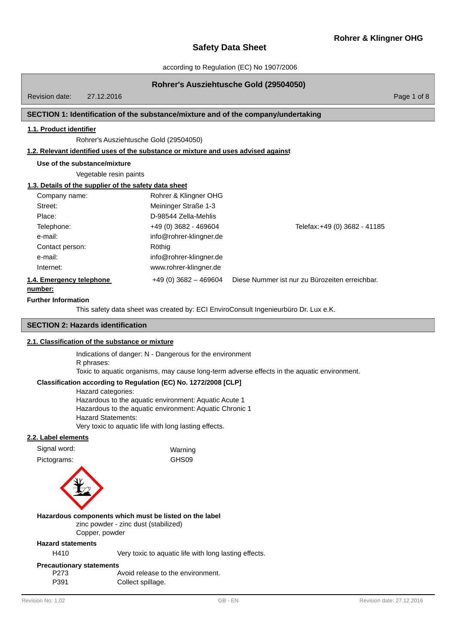according to Regulation (EC) No 1907/2006

# **Rohrer's Ausziehtusche Gold (29504050)**

Revision date: 27.12.2016

Page 1 of 8

# **SECTION 1: Identification of the substance/mixture and of the company/undertaking**

# **1.1. Product identifier**

Rohrer's Ausziehtusche Gold (29504050)

# **1.2. Relevant identified uses of the substance or mixture and uses advised against**

**Use of the substance/mixture**

Vegetable resin paints

# **1.3. Details of the supplier of the safety data sheet**

| Company name:<br>Street:<br>Place:  | Rohrer & Klingner OHG<br>Meininger Straße 1-3<br>D-98544 Zella-Mehlis |                                                |
|-------------------------------------|-----------------------------------------------------------------------|------------------------------------------------|
| Telephone:                          | $+49(0)3682 - 469604$                                                 | Telefax: +49 (0) 3682 - 41185                  |
| e-mail:                             | info@rohrer-klingner.de                                               |                                                |
| Contact person:<br>e-mail:          | Röthig<br>info@rohrer-klingner.de                                     |                                                |
| Internet:                           | www.rohrer-klingner.de                                                |                                                |
| 1.4. Emergency telephone<br>number: | $+49(0)3682 - 469604$                                                 | Diese Nummer ist nur zu Bürozeiten erreichbar. |

#### **Further Information**

This safety data sheet was created by: ECI EnviroConsult Ingenieurbüro Dr. Lux e.K.

# **SECTION 2: Hazards identification**

# **2.1. Classification of the substance or mixture**

Indications of danger: N - Dangerous for the environment

#### R phrases:

Toxic to aquatic organisms, may cause long-term adverse effects in the aquatic environment.

# **Classification according to Regulation (EC) No. 1272/2008 [CLP]**

Hazard categories: Hazardous to the aquatic environment: Aquatic Acute 1 Hazardous to the aquatic environment: Aquatic Chronic 1 Hazard Statements: Very toxic to aquatic life with long lasting effects.

#### **2.2. Label elements**

| Warning                                                                                        |
|------------------------------------------------------------------------------------------------|
| GHS09                                                                                          |
|                                                                                                |
| Hazardous components which must be listed on the label<br>zinc powder - zinc dust (stabilized) |
|                                                                                                |

# Copper, powder

# **Hazard statements**

H410 Very toxic to aquatic life with long lasting effects.

#### **Precautionary statements**

| P273 | Avoid release to the environment. |
|------|-----------------------------------|
| P391 | Collect spillage.                 |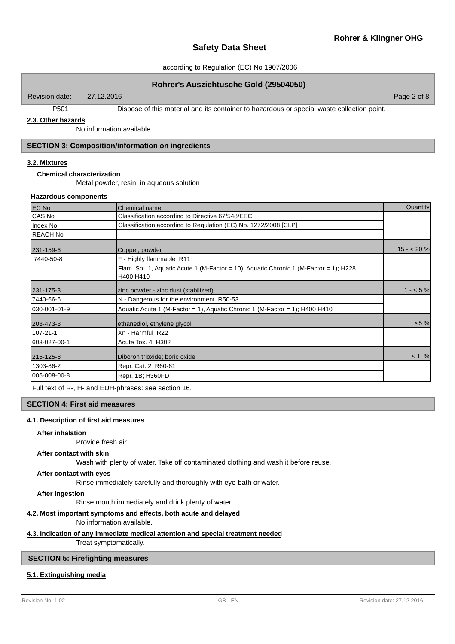Page 2 of 8

# **Safety Data Sheet**

## according to Regulation (EC) No 1907/2006

# **Rohrer's Ausziehtusche Gold (29504050)**

Revision date: 27.12.2016

P501 Dispose of this material and its container to hazardous or special waste collection point.

# **2.3. Other hazards**

No information available.

# **SECTION 3: Composition/information on ingredients**

# **3.2. Mixtures**

# **Chemical characterization**

Metal powder, resin in aqueous solution

#### **Hazardous components**

| EC No           | <b>Chemical name</b>                                                                               | Quantity   |
|-----------------|----------------------------------------------------------------------------------------------------|------------|
| CAS No          | Classification according to Directive 67/548/EEC                                                   |            |
| Index No        | Classification according to Regulation (EC) No. 1272/2008 [CLP]                                    |            |
| <b>REACH No</b> |                                                                                                    |            |
| 231-159-6       | Copper, powder                                                                                     | $15 - 20%$ |
| 7440-50-8       | F - Highly flammable R11                                                                           |            |
|                 | Flam. Sol. 1, Aguatic Acute 1 (M-Factor = 10), Aguatic Chronic 1 (M-Factor = 1); H228<br>H400 H410 |            |
| 231-175-3       | zinc powder - zinc dust (stabilized)                                                               | $1 - 5%$   |
| 7440-66-6       | N - Dangerous for the environment R50-53                                                           |            |
| 030-001-01-9    | Aquatic Acute 1 (M-Factor = 1), Aquatic Chronic 1 (M-Factor = 1); H400 H410                        |            |
| 203-473-3       | ethanediol, ethylene glycol                                                                        | $< 5 \%$   |
| 107-21-1        | Xn - Harmful R22                                                                                   |            |
| 603-027-00-1    | Acute Tox. 4; H302                                                                                 |            |
| 215-125-8       | Diboron trioxide; boric oxide                                                                      | $< 1$ %    |
| 1303-86-2       | Repr. Cat. 2 R60-61                                                                                |            |
| 005-008-00-8    | Repr. 1B; H360FD                                                                                   |            |

Full text of R-, H- and EUH-phrases: see section 16.

## **SECTION 4: First aid measures**

#### **4.1. Description of first aid measures**

#### **After inhalation**

Provide fresh air.

# **After contact with skin**

Wash with plenty of water. Take off contaminated clothing and wash it before reuse.

# **After contact with eyes**

Rinse immediately carefully and thoroughly with eye-bath or water.

**After ingestion**

Rinse mouth immediately and drink plenty of water.

# **4.2. Most important symptoms and effects, both acute and delayed**

No information available.

# **4.3. Indication of any immediate medical attention and special treatment needed**

Treat symptomatically.

# **SECTION 5: Firefighting measures**

# **5.1. Extinguishing media**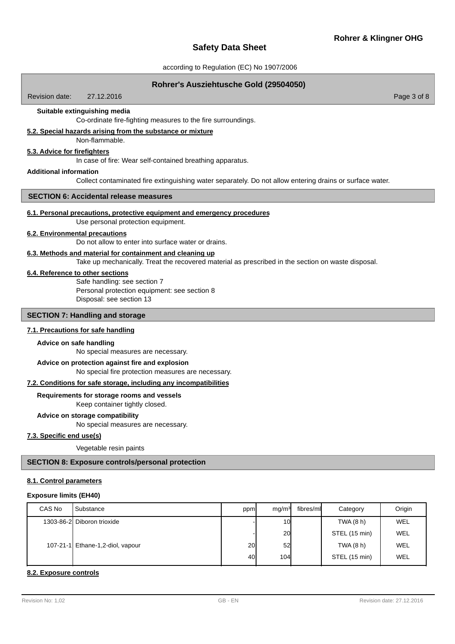## according to Regulation (EC) No 1907/2006

## **Rohrer's Ausziehtusche Gold (29504050)**

Revision date: 27.12.2016

## **Suitable extinguishing media**

Co-ordinate fire-fighting measures to the fire surroundings.

# **5.2. Special hazards arising from the substance or mixture**

Non-flammable.

# **5.3. Advice for firefighters**

In case of fire: Wear self-contained breathing apparatus.

#### **Additional information**

Collect contaminated fire extinguishing water separately. Do not allow entering drains or surface water.

# **SECTION 6: Accidental release measures**

# **6.1. Personal precautions, protective equipment and emergency procedures**

Use personal protection equipment.

# **6.2. Environmental precautions**

Do not allow to enter into surface water or drains.

## **6.3. Methods and material for containment and cleaning up**

Take up mechanically. Treat the recovered material as prescribed in the section on waste disposal.

#### **6.4. Reference to other sections**

Safe handling: see section 7 Personal protection equipment: see section 8 Disposal: see section 13

## **SECTION 7: Handling and storage**

#### **7.1. Precautions for safe handling**

#### **Advice on safe handling**

No special measures are necessary.

#### **Advice on protection against fire and explosion**

No special fire protection measures are necessary.

# **7.2. Conditions for safe storage, including any incompatibilities**

#### **Requirements for storage rooms and vessels**

Keep container tightly closed.

## **Advice on storage compatibility**

No special measures are necessary.

## **7.3. Specific end use(s)**

Vegetable resin paints

# **SECTION 8: Exposure controls/personal protection**

#### **8.1. Control parameters**

#### **Exposure limits (EH40)**

| CAS No | Substance                        | ppm | mq/m <sup>3</sup> | fibres/ml | Category      | Origin |
|--------|----------------------------------|-----|-------------------|-----------|---------------|--------|
|        | 1303-86-2 Diboron trioxide       |     | 10                |           | TWA (8 h)     | WEL    |
|        |                                  |     | 20                |           | STEL (15 min) | WEL    |
|        | 107-21-1 Ethane-1,2-diol, vapour | 20  | 52                |           | TWA (8 h)     | WEL    |
|        |                                  | 40I | <b>104</b>        |           | STEL (15 min) | WEL    |

#### **8.2. Exposure controls**

Page 3 of 8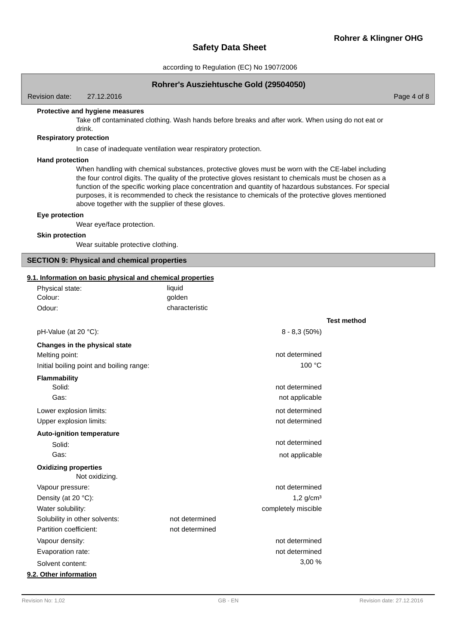Page 4 of 8

# **Safety Data Sheet**

according to Regulation (EC) No 1907/2006

# **Rohrer's Ausziehtusche Gold (29504050)**

Revision date: 27.12.2016

**Protective and hygiene measures**

Take off contaminated clothing. Wash hands before breaks and after work. When using do not eat or drink.

# **Respiratory protection**

In case of inadequate ventilation wear respiratory protection.

#### **Hand protection**

When handling with chemical substances, protective gloves must be worn with the CE-label including the four control digits. The quality of the protective gloves resistant to chemicals must be chosen as a function of the specific working place concentration and quantity of hazardous substances. For special purposes, it is recommended to check the resistance to chemicals of the protective gloves mentioned above together with the supplier of these gloves.

#### **Eye protection**

Wear eye/face protection.

# **Skin protection**

Wear suitable protective clothing.

#### **SECTION 9: Physical and chemical properties**

Physical state: liquid

#### **9.1. Information on basic physical and chemical properties**

| golden         |                                                                                                                                                                                                                                                                           |
|----------------|---------------------------------------------------------------------------------------------------------------------------------------------------------------------------------------------------------------------------------------------------------------------------|
| characteristic |                                                                                                                                                                                                                                                                           |
|                | <b>Test method</b>                                                                                                                                                                                                                                                        |
|                |                                                                                                                                                                                                                                                                           |
|                |                                                                                                                                                                                                                                                                           |
|                |                                                                                                                                                                                                                                                                           |
|                |                                                                                                                                                                                                                                                                           |
|                |                                                                                                                                                                                                                                                                           |
|                |                                                                                                                                                                                                                                                                           |
|                |                                                                                                                                                                                                                                                                           |
|                |                                                                                                                                                                                                                                                                           |
|                |                                                                                                                                                                                                                                                                           |
|                |                                                                                                                                                                                                                                                                           |
|                |                                                                                                                                                                                                                                                                           |
|                |                                                                                                                                                                                                                                                                           |
|                |                                                                                                                                                                                                                                                                           |
|                |                                                                                                                                                                                                                                                                           |
|                |                                                                                                                                                                                                                                                                           |
|                |                                                                                                                                                                                                                                                                           |
|                |                                                                                                                                                                                                                                                                           |
| not determined |                                                                                                                                                                                                                                                                           |
| not determined |                                                                                                                                                                                                                                                                           |
|                |                                                                                                                                                                                                                                                                           |
|                |                                                                                                                                                                                                                                                                           |
|                |                                                                                                                                                                                                                                                                           |
|                |                                                                                                                                                                                                                                                                           |
|                | $8 - 8,3(50\%)$<br>not determined<br>100 °C<br>not determined<br>not applicable<br>not determined<br>not determined<br>not determined<br>not applicable<br>not determined<br>$1,2$ g/cm <sup>3</sup><br>completely miscible<br>not determined<br>not determined<br>3,00 % |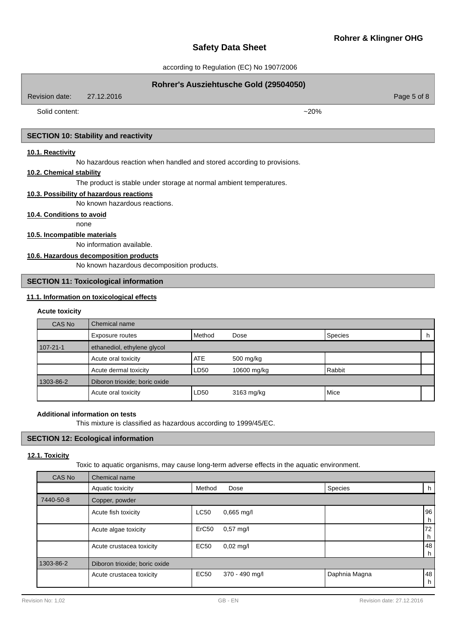according to Regulation (EC) No 1907/2006

# **Rohrer's Ausziehtusche Gold (29504050)** Page 5 of 8 Revision date: 27.12.2016 Solid content:  $\sim$ 20% **SECTION 10: Stability and reactivity 10.1. Reactivity**

No hazardous reaction when handled and stored according to provisions.

# **10.2. Chemical stability**

The product is stable under storage at normal ambient temperatures.

# **10.3. Possibility of hazardous reactions**

No known hazardous reactions.

# **10.4. Conditions to avoid**

none

# **10.5. Incompatible materials**

No information available.

# **10.6. Hazardous decomposition products**

No known hazardous decomposition products.

# **SECTION 11: Toxicological information**

# **11.1. Information on toxicological effects**

#### **Acute toxicity**

| CAS No         | Chemical name                 |            |             |                |    |
|----------------|-------------------------------|------------|-------------|----------------|----|
|                | Exposure routes               | l Method   | Dose        | <b>Species</b> | h. |
| $107 - 21 - 1$ | ethanediol, ethylene glycol   |            |             |                |    |
|                | Acute oral toxicity           | <b>ATE</b> | 500 mg/kg   |                |    |
|                | Acute dermal toxicity         | LD50       | 10600 mg/kg | Rabbit         |    |
| 1303-86-2      | Diboron trioxide; boric oxide |            |             |                |    |
|                | Acute oral toxicity           | LD50       | 3163 mg/kg  | Mice           |    |

## **Additional information on tests**

This mixture is classified as hazardous according to 1999/45/EC.

# **SECTION 12: Ecological information**

## **12.1. Toxicity**

Toxic to aquatic organisms, may cause long-term adverse effects in the aquatic environment.

| CAS No    | Chemical name                 |             |                     |               |            |
|-----------|-------------------------------|-------------|---------------------|---------------|------------|
|           | Aquatic toxicity              | Method      | Dose                | Species       | h.         |
| 7440-50-8 | Copper, powder                |             |                     |               |            |
|           | Acute fish toxicity           | <b>LC50</b> | $0,665$ mg/l        |               | 96<br>h    |
|           | Acute algae toxicity          | ErC50       | $0.57$ mg/l         |               | 172 I<br>h |
|           | Acute crustacea toxicity      | <b>EC50</b> | $0,02 \text{ mg/l}$ |               | 48<br>h.   |
| 1303-86-2 | Diboron trioxide; boric oxide |             |                     |               |            |
|           | Acute crustacea toxicity      | <b>EC50</b> | 370 - 490 mg/l      | Daphnia Magna | 48<br>h    |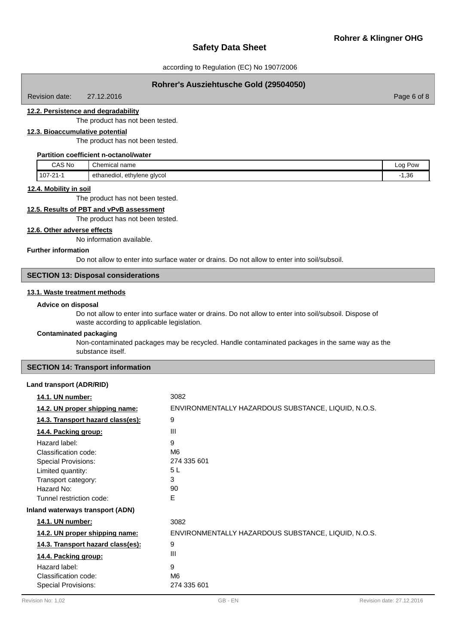Page 6 of 8

# **Safety Data Sheet**

#### according to Regulation (EC) No 1907/2006

## **Rohrer's Ausziehtusche Gold (29504050)**

Revision date: 27.12.2016

#### **12.2. Persistence and degradability**

The product has not been tested.

# **12.3. Bioaccumulative potential**

The product has not been tested.

## **Partition coefficient n-octanol/water**

| CAS No   | Chemical<br>name               | Log<br>Pow               |
|----------|--------------------------------|--------------------------|
| 107-21-1 | ethanediol,<br>ethylene glycol | $\Omega$<br>- 1<br>∵⊥,∪∪ |

#### **12.4. Mobility in soil**

The product has not been tested.

# **12.5. Results of PBT and vPvB assessment**

The product has not been tested.

# **12.6. Other adverse effects**

No information available.

#### **Further information**

Do not allow to enter into surface water or drains. Do not allow to enter into soil/subsoil.

# **SECTION 13: Disposal considerations**

#### **13.1. Waste treatment methods**

#### **Advice on disposal**

Do not allow to enter into surface water or drains. Do not allow to enter into soil/subsoil. Dispose of waste according to applicable legislation.

#### **Contaminated packaging**

Non-contaminated packages may be recycled. Handle contaminated packages in the same way as the substance itself.

#### **SECTION 14: Transport information**

#### **Land transport (ADR/RID)**

| 14.1. UN number:                                                                                                                                                                                     | 3082                                                     |
|------------------------------------------------------------------------------------------------------------------------------------------------------------------------------------------------------|----------------------------------------------------------|
| 14.2. UN proper shipping name:                                                                                                                                                                       | ENVIRONMENTALLY HAZARDOUS SUBSTANCE, LIQUID, N.O.S.      |
| 14.3. Transport hazard class(es):                                                                                                                                                                    | 9                                                        |
| 14.4. Packing group:                                                                                                                                                                                 | $\mathbf{III}$                                           |
| Hazard label:<br>Classification code:<br><b>Special Provisions:</b><br>Limited quantity:<br>Transport category:<br>Hazard No:<br>Tunnel restriction code:<br><b>Inland waterways transport (ADN)</b> | 9<br>M <sub>6</sub><br>274 335 601<br>5L<br>3<br>90<br>E |
| 14.1. UN number:                                                                                                                                                                                     | 3082                                                     |
| 14.2. UN proper shipping name:                                                                                                                                                                       | ENVIRONMENTALLY HAZARDOUS SUBSTANCE, LIQUID, N.O.S.      |
| 14.3. Transport hazard class(es):<br>14.4. Packing group:                                                                                                                                            | 9<br>Ш                                                   |
| Hazard label:<br>Classification code:<br><b>Special Provisions:</b>                                                                                                                                  | 9<br>M <sub>6</sub><br>274 335 601                       |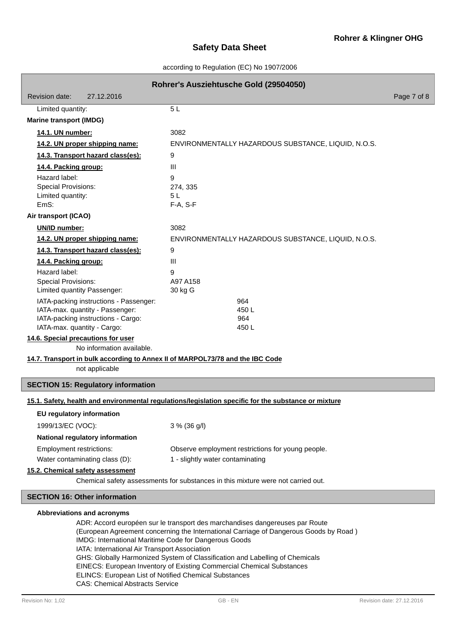# according to Regulation (EC) No 1907/2006

| Rohrer's Ausziehtusche Gold (29504050)                                                                 |                                                                                                      |             |  |  |
|--------------------------------------------------------------------------------------------------------|------------------------------------------------------------------------------------------------------|-------------|--|--|
| 27.12.2016<br>Revision date:                                                                           |                                                                                                      | Page 7 of 8 |  |  |
| Limited quantity:                                                                                      | 5L                                                                                                   |             |  |  |
| <b>Marine transport (IMDG)</b>                                                                         |                                                                                                      |             |  |  |
| 14.1. UN number:                                                                                       | 3082                                                                                                 |             |  |  |
| 14.2. UN proper shipping name:                                                                         | ENVIRONMENTALLY HAZARDOUS SUBSTANCE, LIQUID, N.O.S.                                                  |             |  |  |
| 14.3. Transport hazard class(es):                                                                      | 9                                                                                                    |             |  |  |
| 14.4. Packing group:                                                                                   | Ш                                                                                                    |             |  |  |
| Hazard label:                                                                                          | 9                                                                                                    |             |  |  |
| <b>Special Provisions:</b>                                                                             | 274, 335                                                                                             |             |  |  |
| Limited quantity:<br>EmS:                                                                              | 5L<br>F-A, S-F                                                                                       |             |  |  |
| Air transport (ICAO)                                                                                   |                                                                                                      |             |  |  |
| UN/ID number:                                                                                          | 3082                                                                                                 |             |  |  |
| 14.2. UN proper shipping name:                                                                         | ENVIRONMENTALLY HAZARDOUS SUBSTANCE, LIQUID, N.O.S.                                                  |             |  |  |
| 14.3. Transport hazard class(es):                                                                      | 9                                                                                                    |             |  |  |
| 14.4. Packing group:                                                                                   | Ш                                                                                                    |             |  |  |
| Hazard label:                                                                                          | 9                                                                                                    |             |  |  |
| <b>Special Provisions:</b>                                                                             | A97 A158                                                                                             |             |  |  |
| Limited quantity Passenger:                                                                            | 30 kg G                                                                                              |             |  |  |
| IATA-packing instructions - Passenger:<br>IATA-max. quantity - Passenger:                              | 964<br>450L                                                                                          |             |  |  |
| IATA-packing instructions - Cargo:                                                                     | 964                                                                                                  |             |  |  |
| IATA-max. quantity - Cargo:                                                                            | 450L                                                                                                 |             |  |  |
| 14.6. Special precautions for user<br>No information available.                                        |                                                                                                      |             |  |  |
| 14.7. Transport in bulk according to Annex II of MARPOL73/78 and the IBC Code                          |                                                                                                      |             |  |  |
| not applicable                                                                                         |                                                                                                      |             |  |  |
| <b>SECTION 15: Regulatory information</b>                                                              |                                                                                                      |             |  |  |
|                                                                                                        | 15.1. Safety, health and environmental regulations/legislation specific for the substance or mixture |             |  |  |
| EU regulatory information                                                                              |                                                                                                      |             |  |  |
| 1999/13/EC (VOC):                                                                                      | 3 % (36 g/l)                                                                                         |             |  |  |
| National regulatory information                                                                        |                                                                                                      |             |  |  |
| Employment restrictions:                                                                               | Observe employment restrictions for young people.                                                    |             |  |  |
| Water contaminating class (D):                                                                         | 1 - slightly water contaminating                                                                     |             |  |  |
| 15.2. Chemical safety assessment                                                                       |                                                                                                      |             |  |  |
|                                                                                                        | Chemical safety assessments for substances in this mixture were not carried out.                     |             |  |  |
| <b>SECTION 16: Other information</b>                                                                   |                                                                                                      |             |  |  |
| Abbreviations and acronyms                                                                             |                                                                                                      |             |  |  |
|                                                                                                        | ADR: Accord européen sur le transport des marchandises dangereuses par Route                         |             |  |  |
|                                                                                                        | (European Agreement concerning the International Carriage of Dangerous Goods by Road)                |             |  |  |
| IMDG: International Maritime Code for Dangerous Goods<br>IATA: International Air Transport Association |                                                                                                      |             |  |  |

- GHS: Globally Harmonized System of Classification and Labelling of Chemicals
- EINECS: European Inventory of Existing Commercial Chemical Substances
	- ELINCS: European List of Notified Chemical Substances
	- CAS: Chemical Abstracts Service